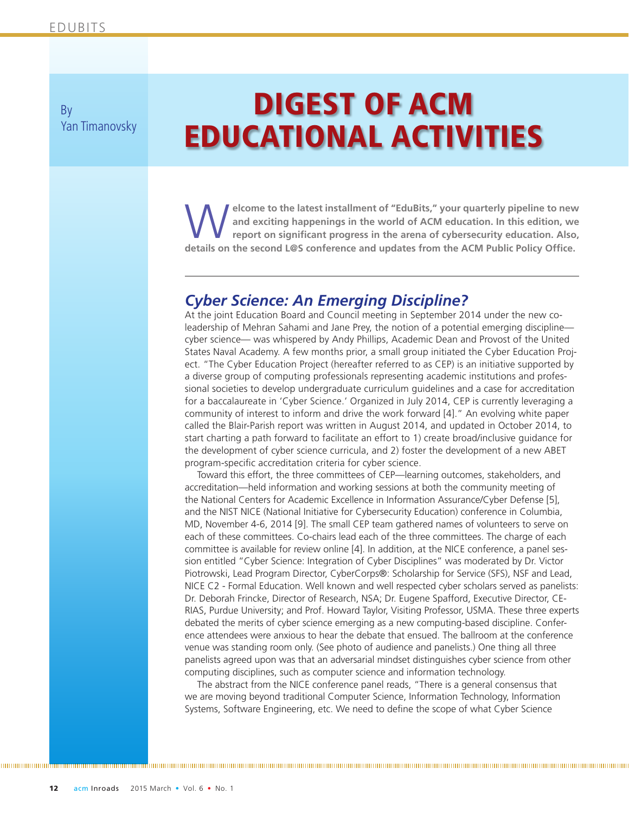By Yan Timanovsky

# DIGEST OF ACM EDUCATIONAL ACTIVITIES

elcome to the latest installment of "EduBits," your quarterly pipeline to new **and exciting happenings in the world of ACM education. In this edition, we report on significant progress in the arena of cybersecurity education. Also, details on the second L@S conference and updates from the ACM Public Policy Office.**

#### *Cyber Science: An Emerging Discipline?*

At the joint Education Board and Council meeting in September 2014 under the new coleadership of Mehran Sahami and Jane Prey, the notion of a potential emerging discipline cyber science— was whispered by Andy Phillips, Academic Dean and Provost of the United States Naval Academy. A few months prior, a small group initiated the Cyber Education Project. "The Cyber Education Project (hereafter referred to as CEP) is an initiative supported by a diverse group of computing professionals representing academic institutions and professional societies to develop undergraduate curriculum guidelines and a case for accreditation for a baccalaureate in 'Cyber Science.' Organized in July 2014, CEP is currently leveraging a community of interest to inform and drive the work forward [4]." An evolving white paper called the Blair-Parish report was written in August 2014, and updated in October 2014, to start charting a path forward to facilitate an effort to 1) create broad/inclusive guidance for the development of cyber science curricula, and 2) foster the development of a new ABET program-specific accreditation criteria for cyber science.

Toward this effort, the three committees of CEP—learning outcomes, stakeholders, and accreditation—held information and working sessions at both the community meeting of the National Centers for Academic Excellence in Information Assurance/Cyber Defense [5], and the NIST NICE (National Initiative for Cybersecurity Education) conference in Columbia, MD, November 4-6, 2014 [9]. The small CEP team gathered names of volunteers to serve on each of these committees. Co-chairs lead each of the three committees. The charge of each committee is available for review online [4]. In addition, at the NICE conference, a panel session entitled "Cyber Science: Integration of Cyber Disciplines" was moderated by Dr. Victor Piotrowski, Lead Program Director, CyberCorps®: Scholarship for Service (SFS), NSF and Lead, NICE C2 - Formal Education. Well known and well respected cyber scholars served as panelists: Dr. Deborah Frincke, Director of Research, NSA; Dr. Eugene Spafford, Executive Director, CE-RIAS, Purdue University; and Prof. Howard Taylor, Visiting Professor, USMA. These three experts debated the merits of cyber science emerging as a new computing-based discipline. Conference attendees were anxious to hear the debate that ensued. The ballroom at the conference venue was standing room only. (See photo of audience and panelists.) One thing all three panelists agreed upon was that an adversarial mindset distinguishes cyber science from other computing disciplines, such as computer science and information technology.

The abstract from the NICE conference panel reads, "There is a general consensus that we are moving beyond traditional Computer Science, Information Technology, Information Systems, Software Engineering, etc. We need to define the scope of what Cyber Science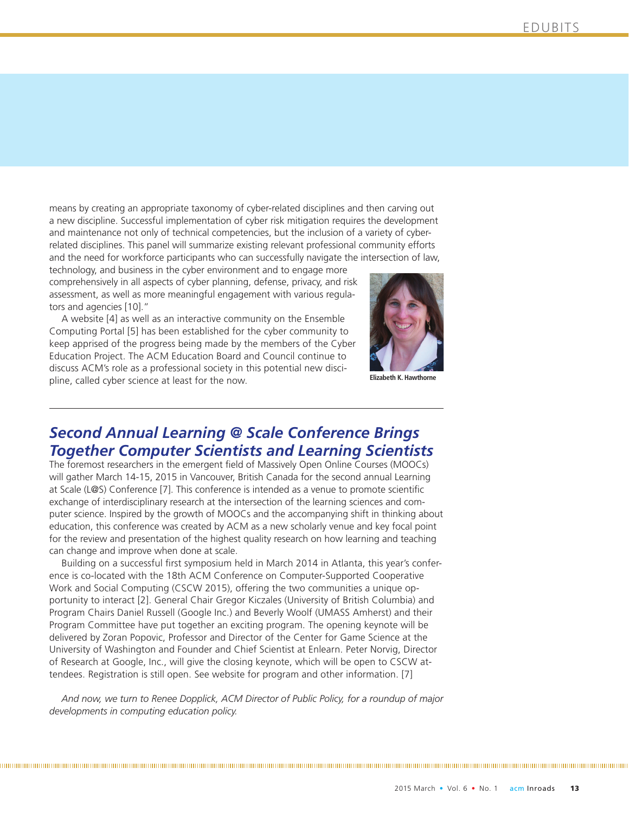means by creating an appropriate taxonomy of cyber-related disciplines and then carving out a new discipline. Successful implementation of cyber risk mitigation requires the development and maintenance not only of technical competencies, but the inclusion of a variety of cyberrelated disciplines. This panel will summarize existing relevant professional community efforts and the need for workforce participants who can successfully navigate the intersection of law,

technology, and business in the cyber environment and to engage more comprehensively in all aspects of cyber planning, defense, privacy, and risk assessment, as well as more meaningful engagement with various regulators and agencies [10]."

A website [4] as well as an interactive community on the Ensemble Computing Portal [5] has been established for the cyber community to keep apprised of the progress being made by the members of the Cyber Education Project. The ACM Education Board and Council continue to discuss ACM's role as a professional society in this potential new discipline, called cyber science at least for the now.



**Elizabeth K. Hawthorne**

## *Second Annual Learning @ Scale Conference Brings Together Computer Scientists and Learning Scientists*

The foremost researchers in the emergent field of Massively Open Online Courses (MOOCs) will gather March 14-15, 2015 in Vancouver, British Canada for the second annual Learning at Scale (L@S) Conference [7]. This conference is intended as a venue to promote scientific exchange of interdisciplinary research at the intersection of the learning sciences and computer science. Inspired by the growth of MOOCs and the accompanying shift in thinking about education, this conference was created by ACM as a new scholarly venue and key focal point for the review and presentation of the highest quality research on how learning and teaching can change and improve when done at scale.

Building on a successful first symposium held in March 2014 in Atlanta, this year's conference is co-located with the 18th ACM Conference on Computer-Supported Cooperative Work and Social Computing (CSCW 2015), offering the two communities a unique opportunity to interact [2]. General Chair Gregor Kiczales (University of British Columbia) and Program Chairs Daniel Russell (Google Inc.) and Beverly Woolf (UMASS Amherst) and their Program Committee have put together an exciting program. The opening keynote will be delivered by Zoran Popovic, Professor and Director of the Center for Game Science at the University of Washington and Founder and Chief Scientist at Enlearn. Peter Norvig, Director of Research at Google, Inc., will give the closing keynote, which will be open to CSCW attendees. Registration is still open. See website for program and other information. [7]

*And now, we turn to Renee Dopplick, ACM Director of Public Policy, for a roundup of major developments in computing education policy.*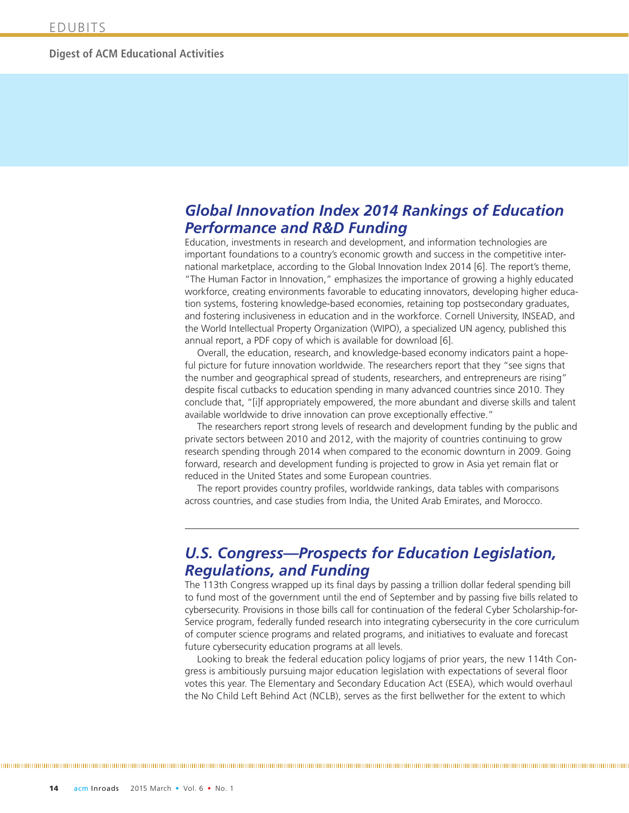## *Global Innovation Index 2014 Rankings of Education Performance and R&D Funding*

Education, investments in research and development, and information technologies are important foundations to a country's economic growth and success in the competitive international marketplace, according to the Global Innovation Index 2014 [6]. The report's theme, "The Human Factor in Innovation," emphasizes the importance of growing a highly educated workforce, creating environments favorable to educating innovators, developing higher education systems, fostering knowledge-based economies, retaining top postsecondary graduates, and fostering inclusiveness in education and in the workforce. Cornell University, INSEAD, and the World Intellectual Property Organization (WIPO), a specialized UN agency, published this annual report, a PDF copy of which is available for download [6].

Overall, the education, research, and knowledge-based economy indicators paint a hopeful picture for future innovation worldwide. The researchers report that they "see signs that the number and geographical spread of students, researchers, and entrepreneurs are rising" despite fiscal cutbacks to education spending in many advanced countries since 2010. They conclude that, "[i]f appropriately empowered, the more abundant and diverse skills and talent available worldwide to drive innovation can prove exceptionally effective."

The researchers report strong levels of research and development funding by the public and private sectors between 2010 and 2012, with the majority of countries continuing to grow research spending through 2014 when compared to the economic downturn in 2009. Going forward, research and development funding is projected to grow in Asia yet remain flat or reduced in the United States and some European countries.

The report provides country profiles, worldwide rankings, data tables with comparisons across countries, and case studies from India, the United Arab Emirates, and Morocco.

### *U.S. Congress—Prospects for Education Legislation, Regulations, and Funding*

The 113th Congress wrapped up its final days by passing a trillion dollar federal spending bill to fund most of the government until the end of September and by passing five bills related to cybersecurity. Provisions in those bills call for continuation of the federal Cyber Scholarship-for-Service program, federally funded research into integrating cybersecurity in the core curriculum of computer science programs and related programs, and initiatives to evaluate and forecast future cybersecurity education programs at all levels.

Looking to break the federal education policy logjams of prior years, the new 114th Congress is ambitiously pursuing major education legislation with expectations of several floor votes this year. The Elementary and Secondary Education Act (ESEA), which would overhaul the No Child Left Behind Act (NCLB), serves as the first bellwether for the extent to which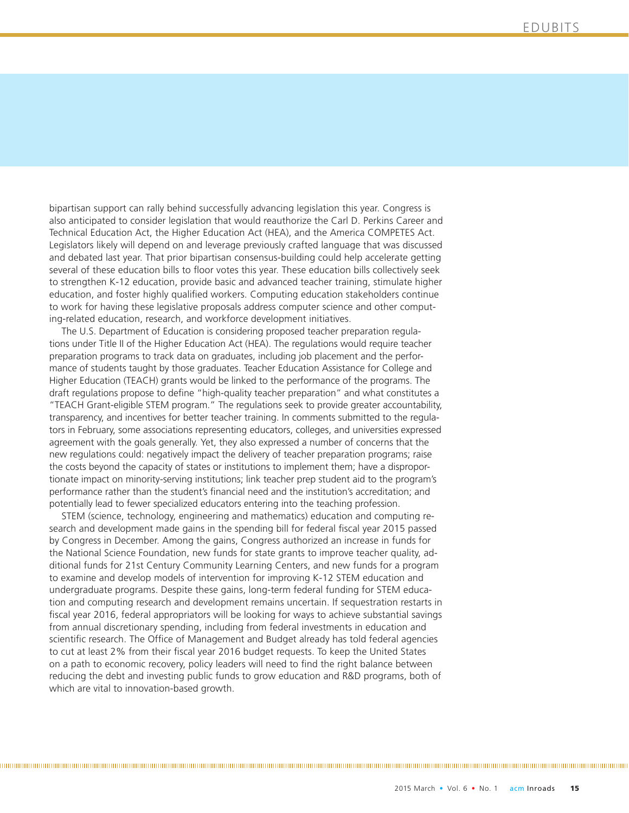bipartisan support can rally behind successfully advancing legislation this year. Congress is also anticipated to consider legislation that would reauthorize the Carl D. Perkins Career and Technical Education Act, the Higher Education Act (HEA), and the America COMPETES Act. Legislators likely will depend on and leverage previously crafted language that was discussed and debated last year. That prior bipartisan consensus-building could help accelerate getting several of these education bills to floor votes this year. These education bills collectively seek to strengthen K-12 education, provide basic and advanced teacher training, stimulate higher education, and foster highly qualified workers. Computing education stakeholders continue to work for having these legislative proposals address computer science and other computing-related education, research, and workforce development initiatives.

The U.S. Department of Education is considering proposed teacher preparation regulations under Title II of the Higher Education Act (HEA). The regulations would require teacher preparation programs to track data on graduates, including job placement and the performance of students taught by those graduates. Teacher Education Assistance for College and Higher Education (TEACH) grants would be linked to the performance of the programs. The draft regulations propose to define "high-quality teacher preparation" and what constitutes a "TEACH Grant-eligible STEM program." The regulations seek to provide greater accountability, transparency, and incentives for better teacher training. In comments submitted to the regulators in February, some associations representing educators, colleges, and universities expressed agreement with the goals generally. Yet, they also expressed a number of concerns that the new regulations could: negatively impact the delivery of teacher preparation programs; raise the costs beyond the capacity of states or institutions to implement them; have a disproportionate impact on minority-serving institutions; link teacher prep student aid to the program's performance rather than the student's financial need and the institution's accreditation; and potentially lead to fewer specialized educators entering into the teaching profession.

STEM (science, technology, engineering and mathematics) education and computing research and development made gains in the spending bill for federal fiscal year 2015 passed by Congress in December. Among the gains, Congress authorized an increase in funds for the National Science Foundation, new funds for state grants to improve teacher quality, additional funds for 21st Century Community Learning Centers, and new funds for a program to examine and develop models of intervention for improving K-12 STEM education and undergraduate programs. Despite these gains, long-term federal funding for STEM education and computing research and development remains uncertain. If sequestration restarts in fiscal year 2016, federal appropriators will be looking for ways to achieve substantial savings from annual discretionary spending, including from federal investments in education and scientific research. The Office of Management and Budget already has told federal agencies to cut at least 2% from their fiscal year 2016 budget requests. To keep the United States on a path to economic recovery, policy leaders will need to find the right balance between reducing the debt and investing public funds to grow education and R&D programs, both of which are vital to innovation-based growth.